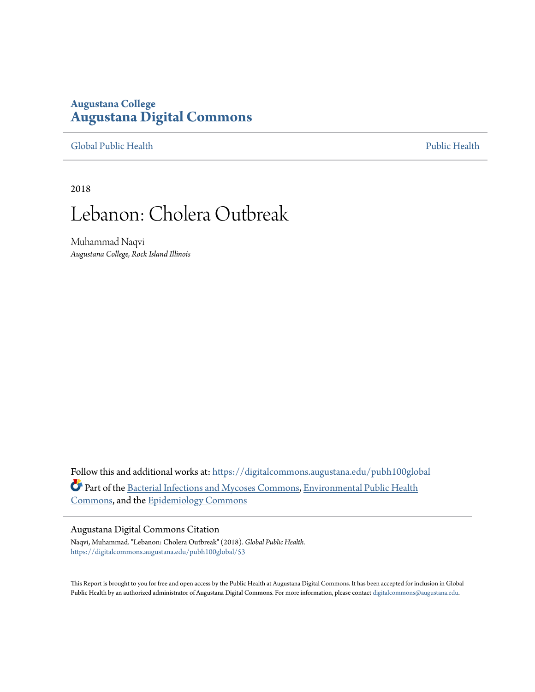### **Augustana College [Augustana Digital Commons](https://digitalcommons.augustana.edu?utm_source=digitalcommons.augustana.edu%2Fpubh100global%2F53&utm_medium=PDF&utm_campaign=PDFCoverPages)**

[Global Public Health](https://digitalcommons.augustana.edu/pubh100global?utm_source=digitalcommons.augustana.edu%2Fpubh100global%2F53&utm_medium=PDF&utm_campaign=PDFCoverPages) [Public Health](https://digitalcommons.augustana.edu/publichealth?utm_source=digitalcommons.augustana.edu%2Fpubh100global%2F53&utm_medium=PDF&utm_campaign=PDFCoverPages)

2018

# Lebanon: Cholera Outbreak

Muhammad Naqvi *Augustana College, Rock Island Illinois*

Follow this and additional works at: [https://digitalcommons.augustana.edu/pubh100global](https://digitalcommons.augustana.edu/pubh100global?utm_source=digitalcommons.augustana.edu%2Fpubh100global%2F53&utm_medium=PDF&utm_campaign=PDFCoverPages) Part of the [Bacterial Infections and Mycoses Commons,](http://network.bepress.com/hgg/discipline/966?utm_source=digitalcommons.augustana.edu%2Fpubh100global%2F53&utm_medium=PDF&utm_campaign=PDFCoverPages) [Environmental Public Health](http://network.bepress.com/hgg/discipline/739?utm_source=digitalcommons.augustana.edu%2Fpubh100global%2F53&utm_medium=PDF&utm_campaign=PDFCoverPages) [Commons,](http://network.bepress.com/hgg/discipline/739?utm_source=digitalcommons.augustana.edu%2Fpubh100global%2F53&utm_medium=PDF&utm_campaign=PDFCoverPages) and the [Epidemiology Commons](http://network.bepress.com/hgg/discipline/740?utm_source=digitalcommons.augustana.edu%2Fpubh100global%2F53&utm_medium=PDF&utm_campaign=PDFCoverPages)

#### Augustana Digital Commons Citation

Naqvi, Muhammad. "Lebanon: Cholera Outbreak" (2018). *Global Public Health.* [https://digitalcommons.augustana.edu/pubh100global/53](https://digitalcommons.augustana.edu/pubh100global/53?utm_source=digitalcommons.augustana.edu%2Fpubh100global%2F53&utm_medium=PDF&utm_campaign=PDFCoverPages)

This Report is brought to you for free and open access by the Public Health at Augustana Digital Commons. It has been accepted for inclusion in Global Public Health by an authorized administrator of Augustana Digital Commons. For more information, please contact [digitalcommons@augustana.edu.](mailto:digitalcommons@augustana.edu)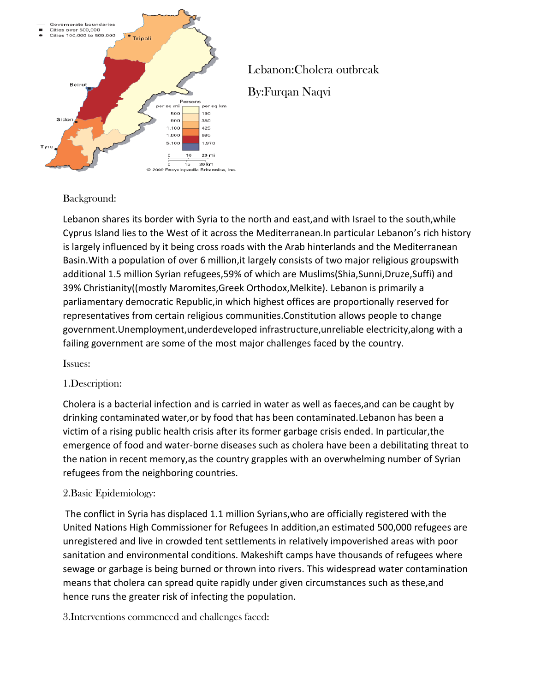

## Lebanon:Cholera outbreak By:Furqan Naqvi

#### Background:

Lebanon shares its border with Syria to the north and east,and with Israel to the south,while Cyprus Island lies to the West of it across the Mediterranean.In particular Lebanon's rich history is largely influenced by it being cross roads with the Arab hinterlands and the Mediterranean Basin.With a population of over 6 million,it largely consists of two major religious groupswith additional 1.5 million Syrian refugees,59% of which are Muslims(Shia,Sunni,Druze,Suffi) and 39% Christianity((mostly Maromites,Greek Orthodox,Melkite). Lebanon is primarily a parliamentary democratic Republic,in which highest offices are proportionally reserved for representatives from certain religious communities.Constitution allows people to change government.Unemployment,underdeveloped infrastructure,unreliable electricity,along with a failing government are some of the most major challenges faced by the country.

#### Issues:

#### 1.Description:

Cholera is a bacterial infection and is carried in water as well as faeces,and can be caught by drinking contaminated water,or by food that has been contaminated.Lebanon has been a victim of a rising public health crisis after its former garbage crisis ended. In particular,the emergence of food and water-borne diseases such as cholera have been a debilitating threat to the nation in recent memory,as the country grapples with an overwhelming number of Syrian refugees from the neighboring countries.

#### 2.Basic Epidemiology:

The conflict in Syria has displaced 1.1 million Syrians,who are officially registered with the United Nations High Commissioner for Refugees In addition,an estimated 500,000 refugees are unregistered and live in crowded tent settlements in relatively impoverished areas with poor sanitation and environmental conditions. Makeshift camps have thousands of refugees where sewage or garbage is being burned or thrown into rivers. This widespread water contamination means that cholera can spread quite rapidly under given circumstances such as these,and hence runs the greater risk of infecting the population.

3.Interventions commenced and challenges faced: